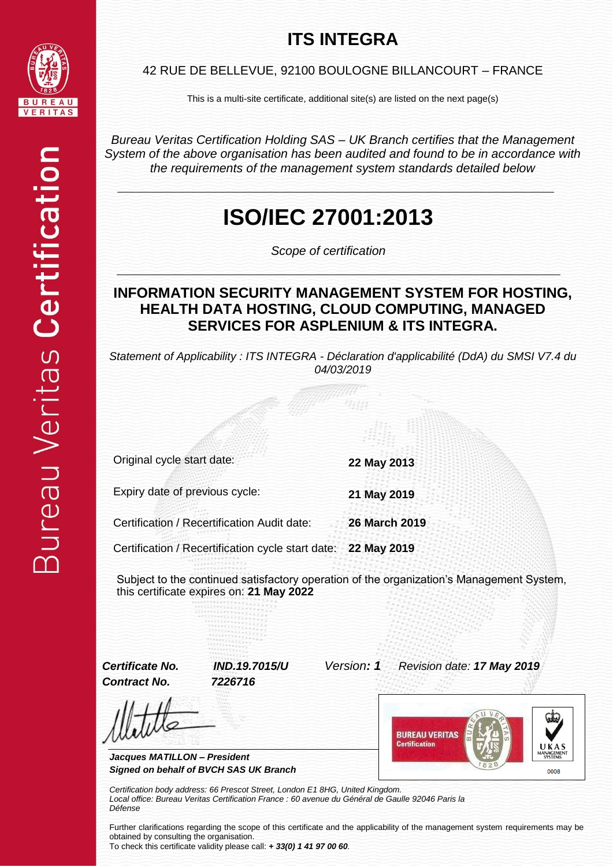## **ITS INTEGRA**



42 RUE DE BELLEVUE, 92100 BOULOGNE BILLANCOURT – FRANCE

This is a multi-site certificate, additional site(s) are listed on the next page(s)

*Bureau Veritas Certification Holding SAS – UK Branch certifies that the Management System of the above organisation has been audited and found to be in accordance with the requirements of the management system standards detailed below*

## **ISO/IEC 27001:2013**

*Scope of certification*

#### **INFORMATION SECURITY MANAGEMENT SYSTEM FOR HOSTING, HEALTH DATA HOSTING, CLOUD COMPUTING, MANAGED SERVICES FOR ASPLENIUM & ITS INTEGRA.**

*Statement of Applicability : ITS INTEGRA - Déclaration d'applicabilité (DdA) du SMSI V7.4 du 04/03/2019*

Original cycle start date: **22 May 2013** Expiry date of previous cycle: **21 May 2019** Certification / Recertification Audit date: **26 March 2019** Certification / Recertification cycle start date: **22 May 2019**

Subject to the continued satisfactory operation of the organization's Management System, this certificate expires on: **21 May 2022**

*Contract No. 7226716*

*Certificate No. IND.19.7015/U Version: 1 Revision date: 17 May 2019*

*Jacques MATILLON – President Signed on behalf of BVCH SAS UK Branch*



*Certification body address: 66 Prescot Street, London E1 8HG, United Kingdom. Local office: Bureau Veritas Certification France : 60 avenue du Général de Gaulle 92046 Paris la Défense*

Further clarifications regarding the scope of this certificate and the applicability of the management system requirements may be obtained by consulting the organisation.

To check this certificate validity please call: *+ 33(0) 1 41 97 00 60.*